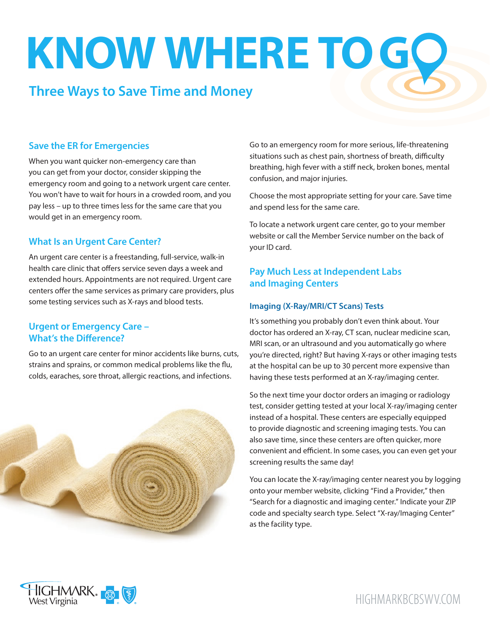# **KNOW WHERE TO G**

# **Three Ways to Save Time and Money**

#### **Save the ER for Emergencies**

When you want quicker non-emergency care than you can get from your doctor, consider skipping the emergency room and going to a network urgent care center. You won't have to wait for hours in a crowded room, and you pay less – up to three times less for the same care that you would get in an emergency room.

## **What Is an Urgent Care Center?**

An urgent care center is a freestanding, full-service, walk-in health care clinic that offers service seven days a week and extended hours. Appointments are not required. Urgent care centers offer the same services as primary care providers, plus some testing services such as X-rays and blood tests.

#### **Urgent or Emergency Care – What's the Difference?**

Go to an urgent care center for minor accidents like burns, cuts, strains and sprains, or common medical problems like the flu, colds, earaches, sore throat, allergic reactions, and infections.



Go to an emergency room for more serious, life-threatening situations such as chest pain, shortness of breath, difficulty breathing, high fever with a stiff neck, broken bones, mental confusion, and major injuries.

Choose the most appropriate setting for your care. Save time and spend less for the same care.

To locate a network urgent care center, go to your member website or call the Member Service number on the back of your ID card.

## **Pay Much Less at Independent Labs and Imaging Centers**

#### **Imaging (X-Ray/MRI/CT Scans) Tests**

It's something you probably don't even think about. Your doctor has ordered an X-ray, CT scan, nuclear medicine scan, MRI scan, or an ultrasound and you automatically go where you're directed, right? But having X-rays or other imaging tests at the hospital can be up to 30 percent more expensive than having these tests performed at an X-ray/imaging center.

So the next time your doctor orders an imaging or radiology test, consider getting tested at your local X-ray/imaging center instead of a hospital. These centers are especially equipped to provide diagnostic and screening imaging tests. You can also save time, since these centers are often quicker, more convenient and efficient. In some cases, you can even get your screening results the same day!

You can locate the X-ray/imaging center nearest you by logging onto your member website, clicking "Find a Provider," then "Search for a diagnostic and imaging center." Indicate your ZIP code and specialty search type. Select "X-ray/Imaging Center" as the facility type.